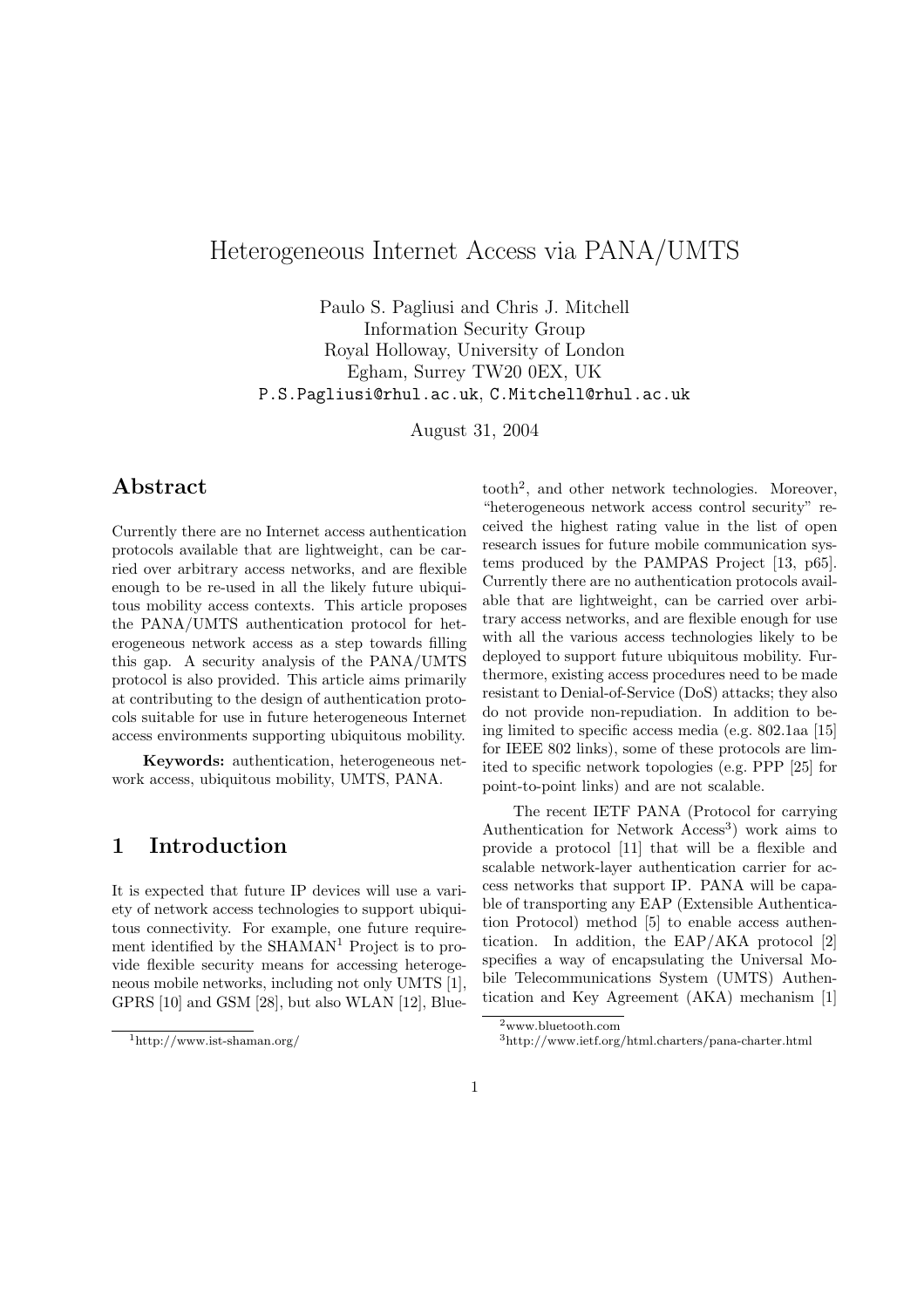# Heterogeneous Internet Access via PANA/UMTS

Paulo S. Pagliusi and Chris J. Mitchell Information Security Group Royal Holloway, University of London Egham, Surrey TW20 0EX, UK P.S.Pagliusi@rhul.ac.uk, C.Mitchell@rhul.ac.uk

August 31, 2004

## Abstract

Currently there are no Internet access authentication protocols available that are lightweight, can be carried over arbitrary access networks, and are flexible enough to be re-used in all the likely future ubiquitous mobility access contexts. This article proposes the PANA/UMTS authentication protocol for heterogeneous network access as a step towards filling this gap. A security analysis of the PANA/UMTS protocol is also provided. This article aims primarily at contributing to the design of authentication protocols suitable for use in future heterogeneous Internet access environments supporting ubiquitous mobility.

Keywords: authentication, heterogeneous network access, ubiquitous mobility, UMTS, PANA.

### 1 Introduction

It is expected that future IP devices will use a variety of network access technologies to support ubiquitous connectivity. For example, one future requirement identified by the  $SHAMAN<sup>1</sup>$  Project is to provide flexible security means for accessing heterogeneous mobile networks, including not only UMTS [1], GPRS [10] and GSM [28], but also WLAN [12], Blue-

tooth<sup>2</sup> , and other network technologies. Moreover, "heterogeneous network access control security" received the highest rating value in the list of open research issues for future mobile communication systems produced by the PAMPAS Project [13, p65]. Currently there are no authentication protocols available that are lightweight, can be carried over arbitrary access networks, and are flexible enough for use with all the various access technologies likely to be deployed to support future ubiquitous mobility. Furthermore, existing access procedures need to be made resistant to Denial-of-Service (DoS) attacks; they also do not provide non-repudiation. In addition to being limited to specific access media (e.g. 802.1aa [15] for IEEE 802 links), some of these protocols are limited to specific network topologies (e.g. PPP [25] for point-to-point links) and are not scalable.

The recent IETF PANA (Protocol for carrying Authentication for Network  $Aceess<sup>3</sup>$  work aims to provide a protocol [11] that will be a flexible and scalable network-layer authentication carrier for access networks that support IP. PANA will be capable of transporting any EAP (Extensible Authentication Protocol) method [5] to enable access authentication. In addition, the EAP/AKA protocol [2] specifies a way of encapsulating the Universal Mobile Telecommunications System (UMTS) Authentication and Key Agreement (AKA) mechanism [1]

<sup>1</sup>http://www.ist-shaman.org/

<sup>2</sup>www.bluetooth.com

<sup>3</sup>http://www.ietf.org/html.charters/pana-charter.html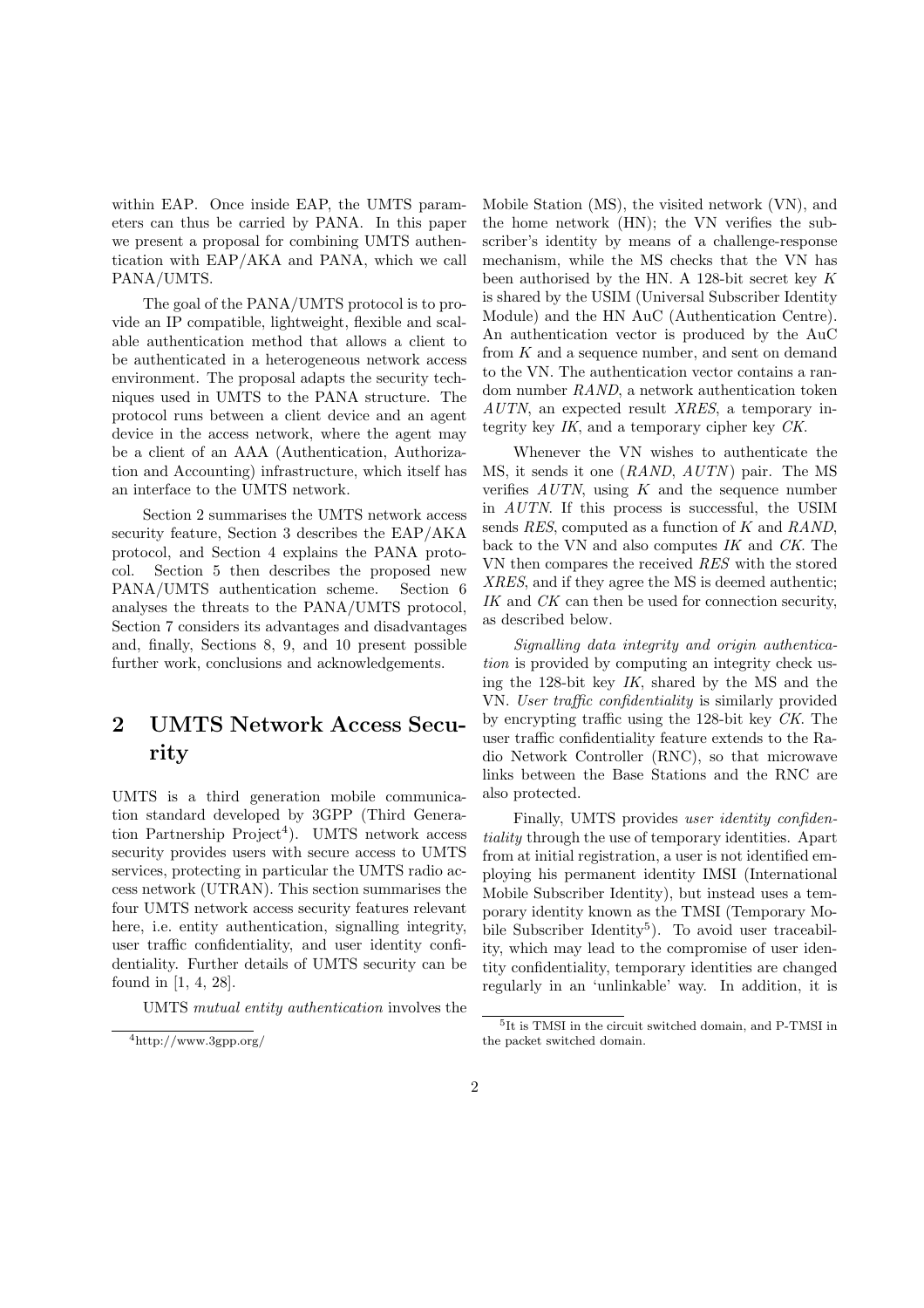within EAP. Once inside EAP, the UMTS parameters can thus be carried by PANA. In this paper we present a proposal for combining UMTS authentication with EAP/AKA and PANA, which we call PANA/UMTS.

The goal of the PANA/UMTS protocol is to provide an IP compatible, lightweight, flexible and scalable authentication method that allows a client to be authenticated in a heterogeneous network access environment. The proposal adapts the security techniques used in UMTS to the PANA structure. The protocol runs between a client device and an agent device in the access network, where the agent may be a client of an AAA (Authentication, Authorization and Accounting) infrastructure, which itself has an interface to the UMTS network.

Section 2 summarises the UMTS network access security feature, Section 3 describes the EAP/AKA protocol, and Section 4 explains the PANA protocol. Section 5 then describes the proposed new PANA/UMTS authentication scheme. Section 6 analyses the threats to the PANA/UMTS protocol, Section 7 considers its advantages and disadvantages and, finally, Sections 8, 9, and 10 present possible further work, conclusions and acknowledgements.

# 2 UMTS Network Access Security

UMTS is a third generation mobile communication standard developed by 3GPP (Third Generation Partnership Project<sup>4</sup>). UMTS network access security provides users with secure access to UMTS services, protecting in particular the UMTS radio access network (UTRAN). This section summarises the four UMTS network access security features relevant here, i.e. entity authentication, signalling integrity, user traffic confidentiality, and user identity confidentiality. Further details of UMTS security can be found in [1, 4, 28].

UMTS mutual entity authentication involves the

Mobile Station (MS), the visited network (VN), and the home network (HN); the VN verifies the subscriber's identity by means of a challenge-response mechanism, while the MS checks that the VN has been authorised by the HN. A 128-bit secret key K is shared by the USIM (Universal Subscriber Identity Module) and the HN AuC (Authentication Centre). An authentication vector is produced by the AuC from  $K$  and a sequence number, and sent on demand to the VN. The authentication vector contains a random number RAND, a network authentication token AUTN, an expected result XRES, a temporary integrity key IK, and a temporary cipher key CK.

Whenever the VN wishes to authenticate the MS, it sends it one *(RAND, AUTN)* pair. The MS verifies  $AUTN$ , using  $K$  and the sequence number in AUTN. If this process is successful, the USIM sends RES, computed as a function of K and RAND, back to the VN and also computes IK and CK. The VN then compares the received RES with the stored XRES, and if they agree the MS is deemed authentic; IK and CK can then be used for connection security, as described below.

Signalling data integrity and origin authentication is provided by computing an integrity check using the 128-bit key  $IK$ , shared by the MS and the VN. User traffic confidentiality is similarly provided by encrypting traffic using the 128-bit key CK. The user traffic confidentiality feature extends to the Radio Network Controller (RNC), so that microwave links between the Base Stations and the RNC are also protected.

Finally, UMTS provides *user identity confiden*tiality through the use of temporary identities. Apart from at initial registration, a user is not identified employing his permanent identity IMSI (International Mobile Subscriber Identity), but instead uses a temporary identity known as the TMSI (Temporary Mobile Subscriber Identity<sup>5</sup>). To avoid user traceability, which may lead to the compromise of user identity confidentiality, temporary identities are changed regularly in an 'unlinkable' way. In addition, it is

<sup>4</sup>http://www.3gpp.org/

<sup>5</sup> It is TMSI in the circuit switched domain, and P-TMSI in the packet switched domain.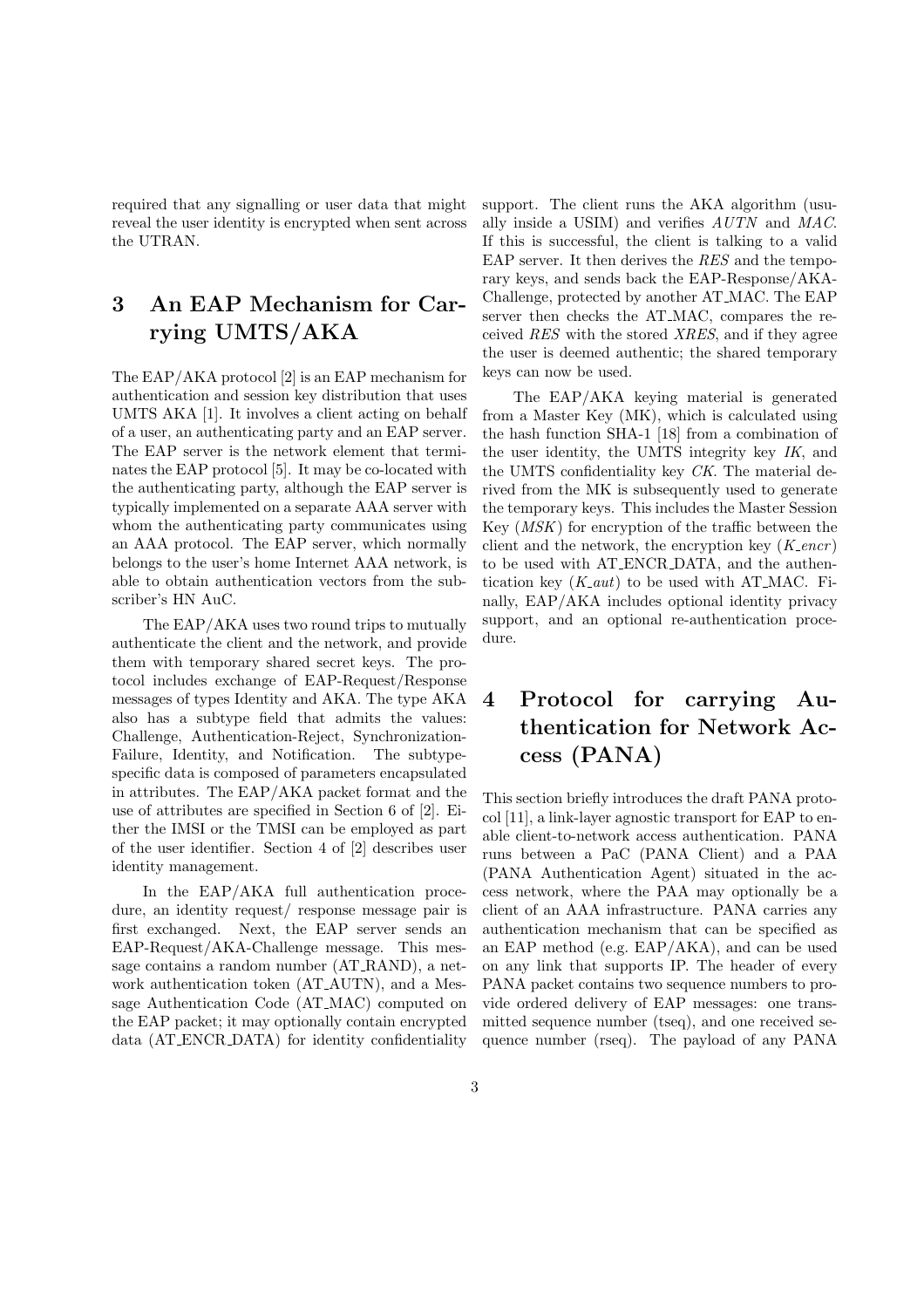required that any signalling or user data that might reveal the user identity is encrypted when sent across the UTRAN.

# 3 An EAP Mechanism for Carrying UMTS/AKA

The EAP/AKA protocol [2] is an EAP mechanism for authentication and session key distribution that uses UMTS AKA [1]. It involves a client acting on behalf of a user, an authenticating party and an EAP server. The EAP server is the network element that terminates the EAP protocol [5]. It may be co-located with the authenticating party, although the EAP server is typically implemented on a separate AAA server with whom the authenticating party communicates using an AAA protocol. The EAP server, which normally belongs to the user's home Internet AAA network, is able to obtain authentication vectors from the subscriber's HN AuC.

The EAP/AKA uses two round trips to mutually authenticate the client and the network, and provide them with temporary shared secret keys. The protocol includes exchange of EAP-Request/Response messages of types Identity and AKA. The type AKA also has a subtype field that admits the values: Challenge, Authentication-Reject, Synchronization-Failure, Identity, and Notification. The subtypespecific data is composed of parameters encapsulated in attributes. The EAP/AKA packet format and the use of attributes are specified in Section 6 of [2]. Either the IMSI or the TMSI can be employed as part of the user identifier. Section 4 of [2] describes user identity management.

In the EAP/AKA full authentication procedure, an identity request/ response message pair is first exchanged. Next, the EAP server sends an EAP-Request/AKA-Challenge message. This message contains a random number (AT RAND), a network authentication token (AT AUTN), and a Message Authentication Code (AT MAC) computed on the EAP packet; it may optionally contain encrypted data (AT ENCR DATA) for identity confidentiality

support. The client runs the AKA algorithm (usually inside a USIM) and verifies AUTN and MAC. If this is successful, the client is talking to a valid EAP server. It then derives the RES and the temporary keys, and sends back the EAP-Response/AKA-Challenge, protected by another AT MAC. The EAP server then checks the AT MAC, compares the received RES with the stored XRES, and if they agree the user is deemed authentic; the shared temporary keys can now be used.

The EAP/AKA keying material is generated from a Master Key (MK), which is calculated using the hash function SHA-1 [18] from a combination of the user identity, the UMTS integrity key IK, and the UMTS confidentiality key CK. The material derived from the MK is subsequently used to generate the temporary keys. This includes the Master Session Key (MSK) for encryption of the traffic between the client and the network, the encryption key  $(K_{\text{c}}\text{encr})$ to be used with AT ENCR DATA, and the authentication key  $(K_$ ut) to be used with AT\_MAC. Finally, EAP/AKA includes optional identity privacy support, and an optional re-authentication procedure.

# 4 Protocol for carrying Authentication for Network Access (PANA)

This section briefly introduces the draft PANA protocol [11], a link-layer agnostic transport for EAP to enable client-to-network access authentication. PANA runs between a PaC (PANA Client) and a PAA (PANA Authentication Agent) situated in the access network, where the PAA may optionally be a client of an AAA infrastructure. PANA carries any authentication mechanism that can be specified as an EAP method (e.g. EAP/AKA), and can be used on any link that supports IP. The header of every PANA packet contains two sequence numbers to provide ordered delivery of EAP messages: one transmitted sequence number (tseq), and one received sequence number (rseq). The payload of any PANA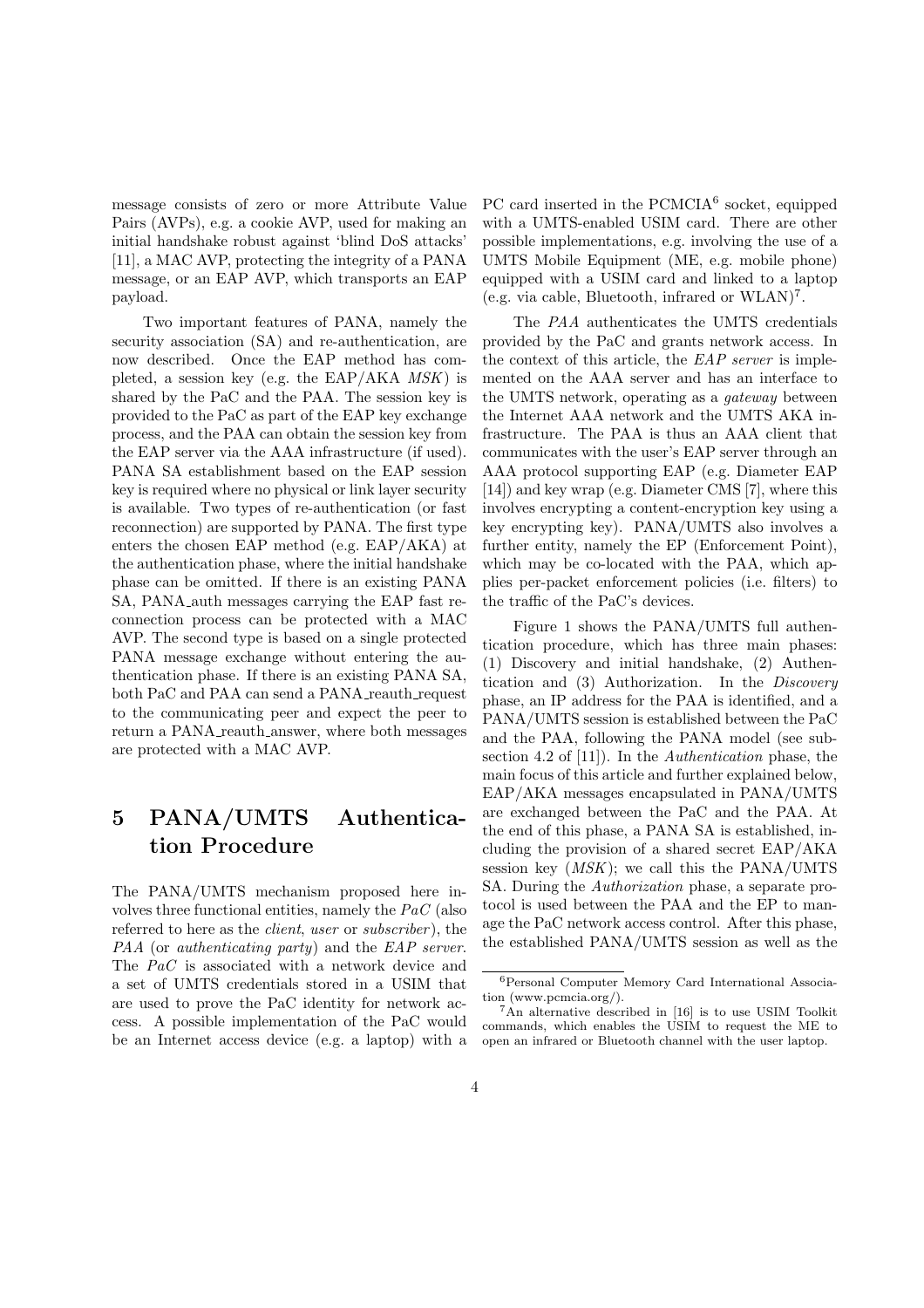message consists of zero or more Attribute Value Pairs (AVPs), e.g. a cookie AVP, used for making an initial handshake robust against 'blind DoS attacks' [11], a MAC AVP, protecting the integrity of a PANA message, or an EAP AVP, which transports an EAP payload.

Two important features of PANA, namely the security association (SA) and re-authentication, are now described. Once the EAP method has completed, a session key (e.g. the EAP/AKA  $MSK$ ) is shared by the PaC and the PAA. The session key is provided to the PaC as part of the EAP key exchange process, and the PAA can obtain the session key from the EAP server via the AAA infrastructure (if used). PANA SA establishment based on the EAP session key is required where no physical or link layer security is available. Two types of re-authentication (or fast reconnection) are supported by PANA. The first type enters the chosen EAP method (e.g. EAP/AKA) at the authentication phase, where the initial handshake phase can be omitted. If there is an existing PANA SA, PANA auth messages carrying the EAP fast reconnection process can be protected with a MAC AVP. The second type is based on a single protected PANA message exchange without entering the authentication phase. If there is an existing PANA SA, both PaC and PAA can send a PANA\_reauth\_request to the communicating peer and expect the peer to return a PANA\_reauth\_answer, where both messages are protected with a MAC AVP.

# 5 PANA/UMTS Authentication Procedure

The PANA/UMTS mechanism proposed here involves three functional entities, namely the PaC (also referred to here as the *client*, user or *subscriber*), the PAA (or *authenticating party*) and the EAP server. The PaC is associated with a network device and a set of UMTS credentials stored in a USIM that are used to prove the PaC identity for network access. A possible implementation of the PaC would be an Internet access device (e.g. a laptop) with a

PC card inserted in the PCMCIA<sup>6</sup> socket, equipped with a UMTS-enabled USIM card. There are other possible implementations, e.g. involving the use of a UMTS Mobile Equipment (ME, e.g. mobile phone) equipped with a USIM card and linked to a laptop (e.g. via cable, Bluetooth, infrared or WLAN)<sup>7</sup> .

The PAA authenticates the UMTS credentials provided by the PaC and grants network access. In the context of this article, the EAP server is implemented on the AAA server and has an interface to the UMTS network, operating as a gateway between the Internet AAA network and the UMTS AKA infrastructure. The PAA is thus an AAA client that communicates with the user's EAP server through an AAA protocol supporting EAP (e.g. Diameter EAP [14]) and key wrap (e.g. Diameter CMS [7], where this involves encrypting a content-encryption key using a key encrypting key). PANA/UMTS also involves a further entity, namely the EP (Enforcement Point), which may be co-located with the PAA, which applies per-packet enforcement policies (i.e. filters) to the traffic of the PaC's devices.

Figure 1 shows the PANA/UMTS full authentication procedure, which has three main phases: (1) Discovery and initial handshake, (2) Authentication and (3) Authorization. In the Discovery phase, an IP address for the PAA is identified, and a PANA/UMTS session is established between the PaC and the PAA, following the PANA model (see subsection 4.2 of [11]). In the Authentication phase, the main focus of this article and further explained below, EAP/AKA messages encapsulated in PANA/UMTS are exchanged between the PaC and the PAA. At the end of this phase, a PANA SA is established, including the provision of a shared secret EAP/AKA session key  $(MSK)$ ; we call this the PANA/UMTS SA. During the Authorization phase, a separate protocol is used between the PAA and the EP to manage the PaC network access control. After this phase, the established PANA/UMTS session as well as the

<sup>6</sup>Personal Computer Memory Card International Association (www.pcmcia.org/).

 ${}^{7}$ An alternative described in [16] is to use USIM Toolkit commands, which enables the USIM to request the ME to open an infrared or Bluetooth channel with the user laptop.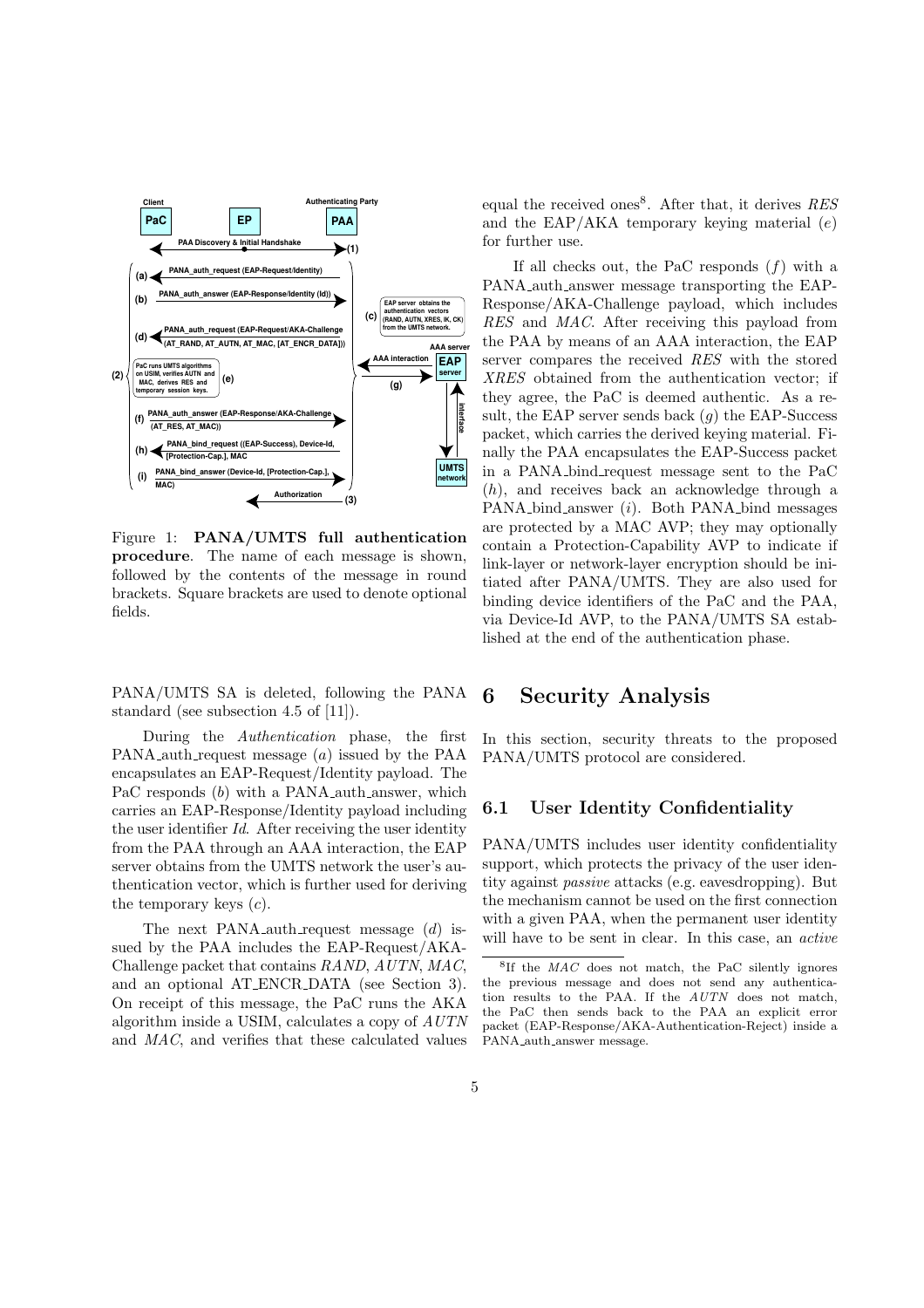

Figure 1: PANA/UMTS full authentication procedure. The name of each message is shown, followed by the contents of the message in round brackets. Square brackets are used to denote optional fields.

PANA/UMTS SA is deleted, following the PANA standard (see subsection 4.5 of [11]).

During the Authentication phase, the first PANA auth request message (a) issued by the PAA encapsulates an EAP-Request/Identity payload. The PaC responds (b) with a PANA auth answer, which carries an EAP-Response/Identity payload including the user identifier Id. After receiving the user identity from the PAA through an AAA interaction, the EAP server obtains from the UMTS network the user's authentication vector, which is further used for deriving the temporary keys  $(c)$ .

The next PANA auth request message  $(d)$  issued by the PAA includes the EAP-Request/AKA-Challenge packet that contains RAND, AUTN, MAC, and an optional AT ENCR DATA (see Section 3). On receipt of this message, the PaC runs the AKA algorithm inside a USIM, calculates a copy of AUTN and MAC, and verifies that these calculated values

equal the received ones<sup>8</sup>. After that, it derives  $RES$ and the EAP/AKA temporary keying material  $(e)$ for further use.

If all checks out, the PaC responds  $(f)$  with a PANA auth answer message transporting the EAP-Response/AKA-Challenge payload, which includes RES and MAC. After receiving this payload from the PAA by means of an AAA interaction, the EAP server compares the received RES with the stored XRES obtained from the authentication vector; if they agree, the PaC is deemed authentic. As a result, the EAP server sends back  $(g)$  the EAP-Success packet, which carries the derived keying material. Finally the PAA encapsulates the EAP-Success packet in a PANA bind request message sent to the PaC (h), and receives back an acknowledge through a PANA bind answer  $(i)$ . Both PANA bind messages are protected by a MAC AVP; they may optionally contain a Protection-Capability AVP to indicate if link-layer or network-layer encryption should be initiated after PANA/UMTS. They are also used for binding device identifiers of the PaC and the PAA, via Device-Id AVP, to the PANA/UMTS SA established at the end of the authentication phase.

### 6 Security Analysis

In this section, security threats to the proposed PANA/UMTS protocol are considered.

#### 6.1 User Identity Confidentiality

PANA/UMTS includes user identity confidentiality support, which protects the privacy of the user identity against passive attacks (e.g. eavesdropping). But the mechanism cannot be used on the first connection with a given PAA, when the permanent user identity will have to be sent in clear. In this case, an active

<sup>&</sup>lt;sup>8</sup>If the *MAC* does not match, the PaC silently ignores the previous message and does not send any authentication results to the PAA. If the AUTN does not match, the PaC then sends back to the PAA an explicit error packet (EAP-Response/AKA-Authentication-Reject) inside a PANA auth answer message.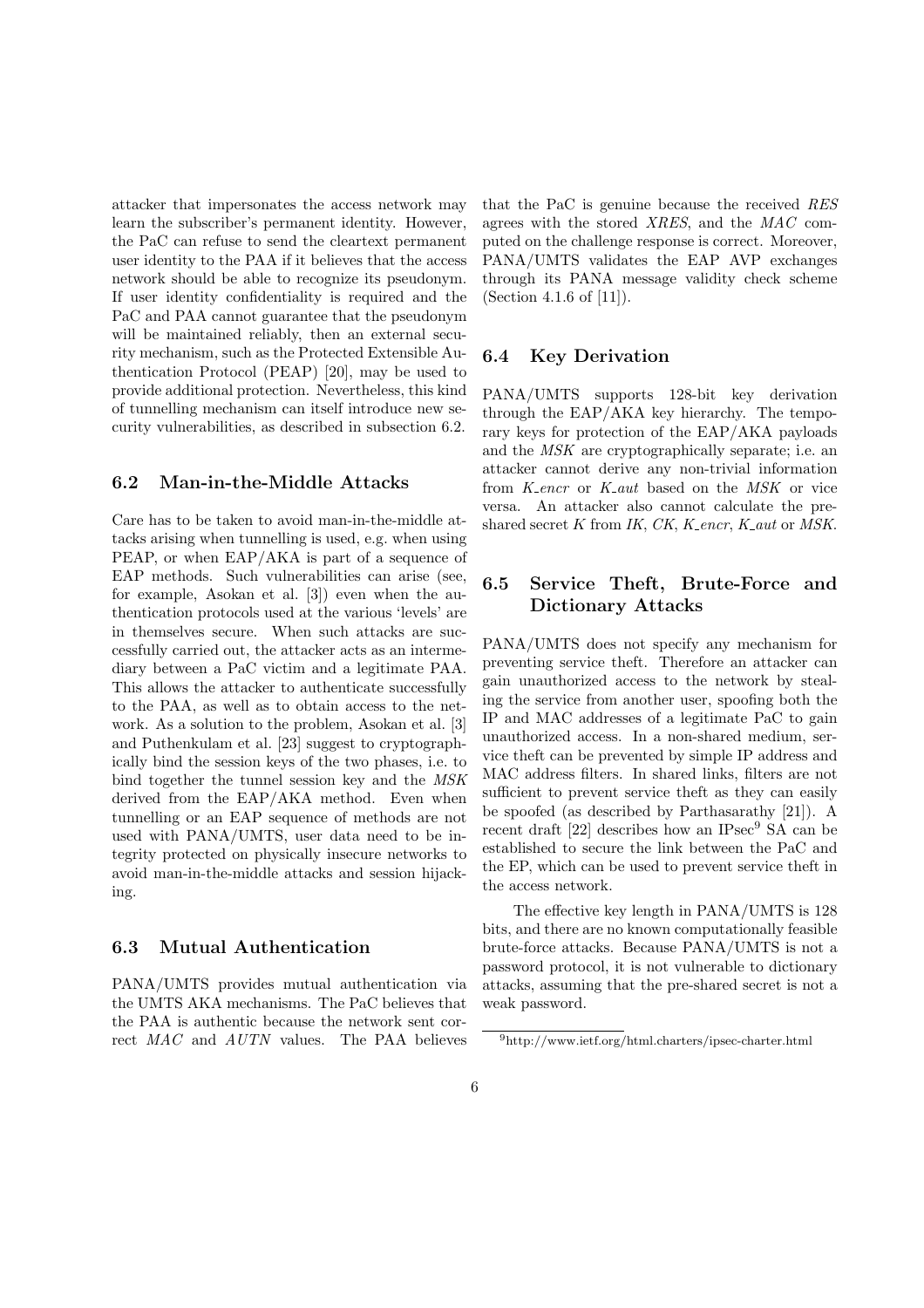attacker that impersonates the access network may learn the subscriber's permanent identity. However, the PaC can refuse to send the cleartext permanent user identity to the PAA if it believes that the access network should be able to recognize its pseudonym. If user identity confidentiality is required and the PaC and PAA cannot guarantee that the pseudonym will be maintained reliably, then an external security mechanism, such as the Protected Extensible Authentication Protocol (PEAP) [20], may be used to provide additional protection. Nevertheless, this kind of tunnelling mechanism can itself introduce new security vulnerabilities, as described in subsection 6.2.

#### 6.2 Man-in-the-Middle Attacks

Care has to be taken to avoid man-in-the-middle attacks arising when tunnelling is used, e.g. when using PEAP, or when EAP/AKA is part of a sequence of EAP methods. Such vulnerabilities can arise (see, for example, Asokan et al. [3]) even when the authentication protocols used at the various 'levels' are in themselves secure. When such attacks are successfully carried out, the attacker acts as an intermediary between a PaC victim and a legitimate PAA. This allows the attacker to authenticate successfully to the PAA, as well as to obtain access to the network. As a solution to the problem, Asokan et al. [3] and Puthenkulam et al. [23] suggest to cryptographically bind the session keys of the two phases, i.e. to bind together the tunnel session key and the MSK derived from the EAP/AKA method. Even when tunnelling or an EAP sequence of methods are not used with PANA/UMTS, user data need to be integrity protected on physically insecure networks to avoid man-in-the-middle attacks and session hijacking.

#### 6.3 Mutual Authentication

PANA/UMTS provides mutual authentication via the UMTS AKA mechanisms. The PaC believes that the PAA is authentic because the network sent correct MAC and AUTN values. The PAA believes that the PaC is genuine because the received RES agrees with the stored XRES, and the MAC computed on the challenge response is correct. Moreover, PANA/UMTS validates the EAP AVP exchanges through its PANA message validity check scheme (Section 4.1.6 of [11]).

#### 6.4 Key Derivation

PANA/UMTS supports 128-bit key derivation through the EAP/AKA key hierarchy. The temporary keys for protection of the EAP/AKA payloads and the MSK are cryptographically separate; i.e. an attacker cannot derive any non-trivial information from K encr or K aut based on the MSK or vice versa. An attacker also cannot calculate the preshared secret  $K$  from IK,  $CK$ ,  $K$ <sub>-encr</sub>,  $K$ <sub>-aut</sub> or MSK.

#### 6.5 Service Theft, Brute-Force and Dictionary Attacks

PANA/UMTS does not specify any mechanism for preventing service theft. Therefore an attacker can gain unauthorized access to the network by stealing the service from another user, spoofing both the IP and MAC addresses of a legitimate PaC to gain unauthorized access. In a non-shared medium, service theft can be prevented by simple IP address and MAC address filters. In shared links, filters are not sufficient to prevent service theft as they can easily be spoofed (as described by Parthasarathy [21]). A recent draft  $[22]$  describes how an IPsec<sup>9</sup> SA can be established to secure the link between the PaC and the EP, which can be used to prevent service theft in the access network.

The effective key length in PANA/UMTS is 128 bits, and there are no known computationally feasible brute-force attacks. Because PANA/UMTS is not a password protocol, it is not vulnerable to dictionary attacks, assuming that the pre-shared secret is not a weak password.

<sup>9</sup>http://www.ietf.org/html.charters/ipsec-charter.html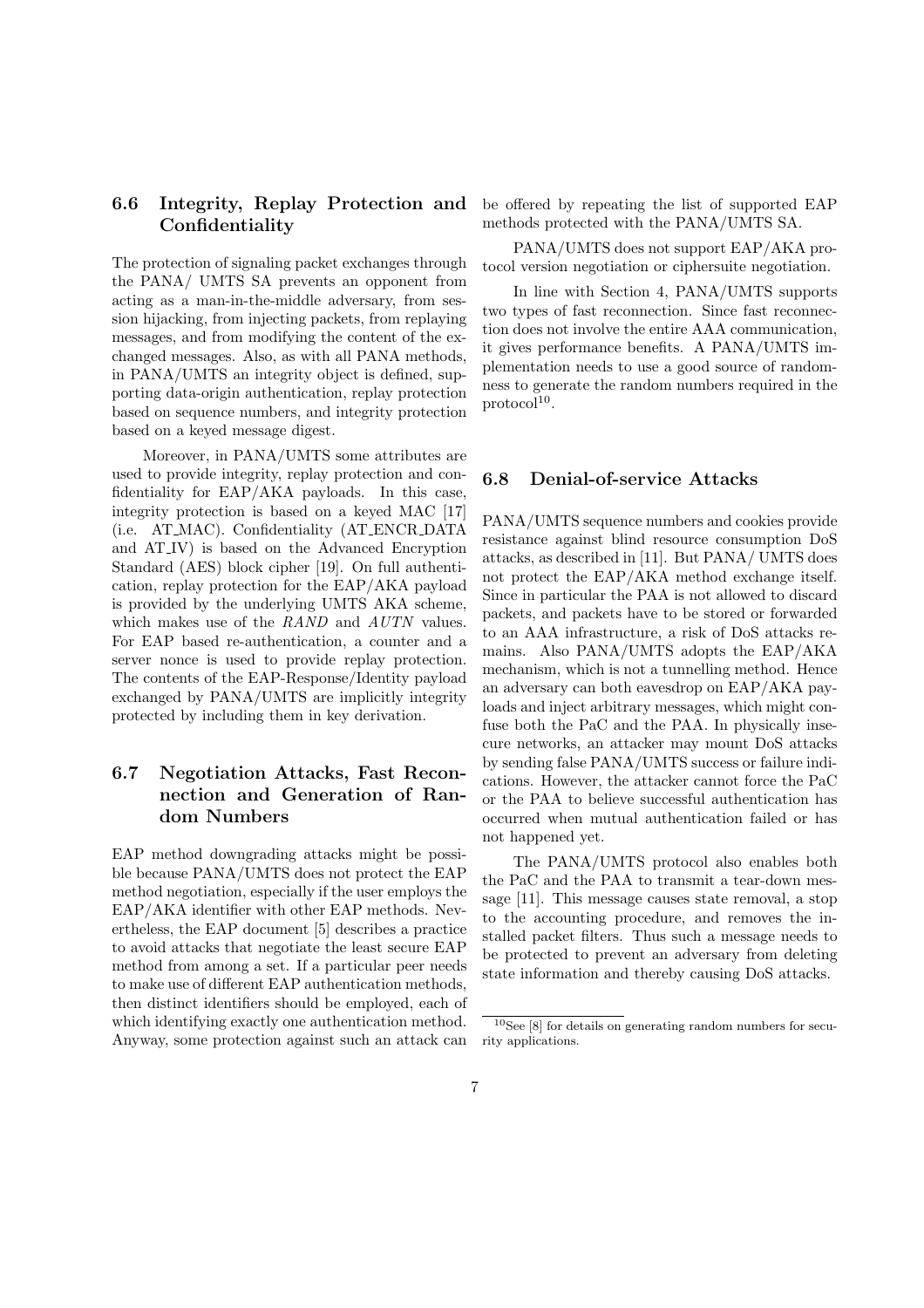#### 6.6 Integrity, Replay Protection and Confidentiality

The protection of signaling packet exchanges through the PANA/ UMTS SA prevents an opponent from acting as a man-in-the-middle adversary, from session hijacking, from injecting packets, from replaying messages, and from modifying the content of the exchanged messages. Also, as with all PANA methods, in PANA/UMTS an integrity object is defined, supporting data-origin authentication, replay protection based on sequence numbers, and integrity protection based on a keyed message digest.

Moreover, in PANA/UMTS some attributes are used to provide integrity, replay protection and confidentiality for EAP/AKA payloads. In this case, integrity protection is based on a keyed MAC [17] (i.e. AT MAC). Confidentiality (AT ENCR DATA and AT IV) is based on the Advanced Encryption Standard (AES) block cipher [19]. On full authentication, replay protection for the EAP/AKA payload is provided by the underlying UMTS AKA scheme, which makes use of the RAND and AUTN values. For EAP based re-authentication, a counter and a server nonce is used to provide replay protection. The contents of the EAP-Response/Identity payload exchanged by PANA/UMTS are implicitly integrity protected by including them in key derivation.

### 6.7 Negotiation Attacks, Fast Reconnection and Generation of Random Numbers

EAP method downgrading attacks might be possible because PANA/UMTS does not protect the EAP method negotiation, especially if the user employs the EAP/AKA identifier with other EAP methods. Nevertheless, the EAP document [5] describes a practice to avoid attacks that negotiate the least secure EAP method from among a set. If a particular peer needs to make use of different EAP authentication methods, then distinct identifiers should be employed, each of which identifying exactly one authentication method. Anyway, some protection against such an attack can be offered by repeating the list of supported EAP methods protected with the PANA/UMTS SA.

PANA/UMTS does not support EAP/AKA protocol version negotiation or ciphersuite negotiation.

In line with Section 4, PANA/UMTS supports two types of fast reconnection. Since fast reconnection does not involve the entire AAA communication, it gives performance benefits. A PANA/UMTS implementation needs to use a good source of randomness to generate the random numbers required in the  $\text{protocol}^{10}.$ 

#### 6.8 Denial-of-service Attacks

PANA/UMTS sequence numbers and cookies provide resistance against blind resource consumption DoS attacks, as described in [11]. But PANA/ UMTS does not protect the EAP/AKA method exchange itself. Since in particular the PAA is not allowed to discard packets, and packets have to be stored or forwarded to an AAA infrastructure, a risk of DoS attacks remains. Also PANA/UMTS adopts the EAP/AKA mechanism, which is not a tunnelling method. Hence an adversary can both eavesdrop on EAP/AKA payloads and inject arbitrary messages, which might confuse both the PaC and the PAA. In physically insecure networks, an attacker may mount DoS attacks by sending false PANA/UMTS success or failure indications. However, the attacker cannot force the PaC or the PAA to believe successful authentication has occurred when mutual authentication failed or has not happened yet.

The PANA/UMTS protocol also enables both the PaC and the PAA to transmit a tear-down message [11]. This message causes state removal, a stop to the accounting procedure, and removes the installed packet filters. Thus such a message needs to be protected to prevent an adversary from deleting state information and thereby causing DoS attacks.

 $^{10}\mathrm{See}$  [8] for details on generating random numbers for security applications.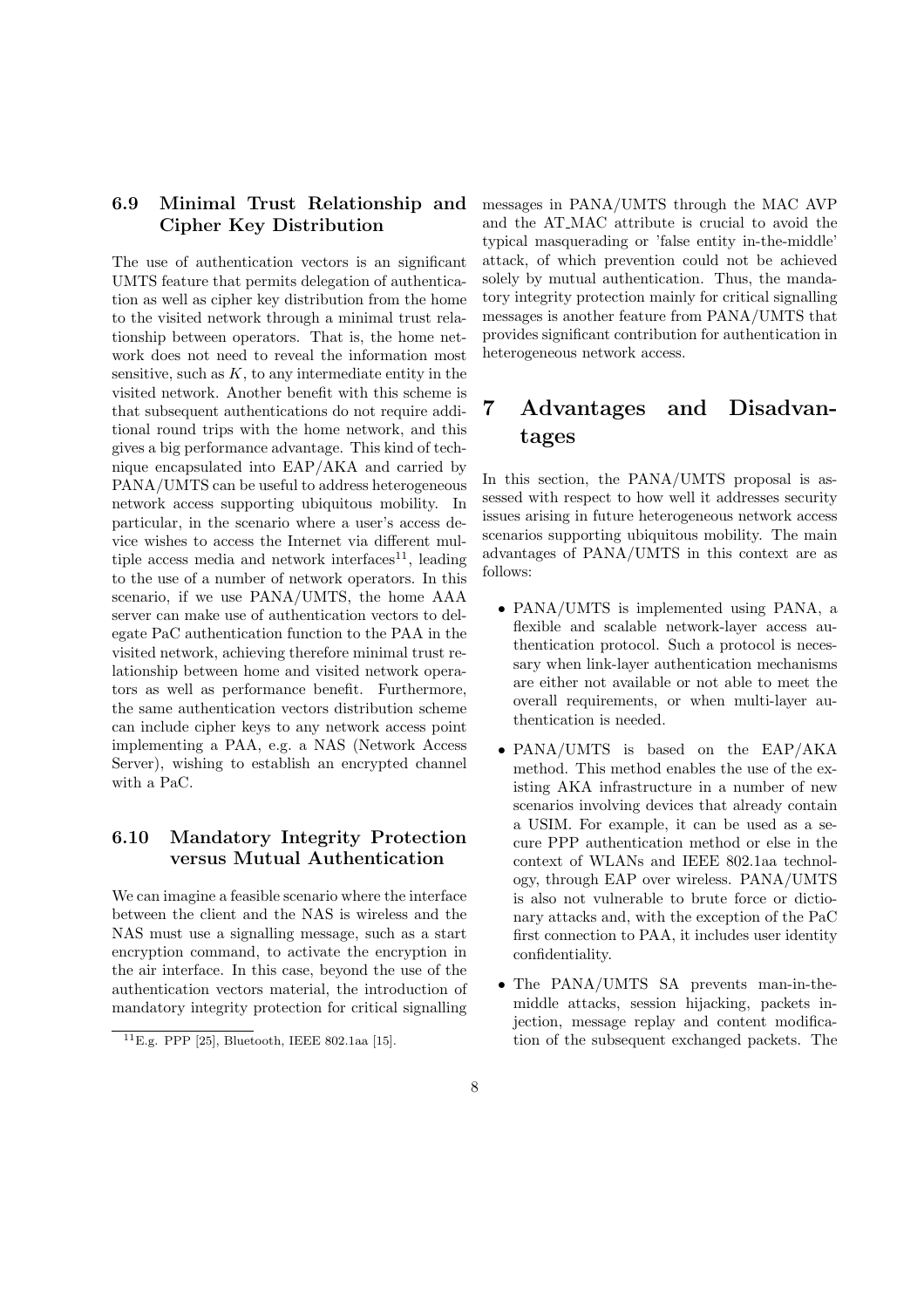### 6.9 Minimal Trust Relationship and Cipher Key Distribution

The use of authentication vectors is an significant UMTS feature that permits delegation of authentication as well as cipher key distribution from the home to the visited network through a minimal trust relationship between operators. That is, the home network does not need to reveal the information most sensitive, such as  $K$ , to any intermediate entity in the visited network. Another benefit with this scheme is that subsequent authentications do not require additional round trips with the home network, and this gives a big performance advantage. This kind of technique encapsulated into EAP/AKA and carried by PANA/UMTS can be useful to address heterogeneous network access supporting ubiquitous mobility. In particular, in the scenario where a user's access device wishes to access the Internet via different multiple access media and network interfaces $^{11}$ , leading to the use of a number of network operators. In this scenario, if we use PANA/UMTS, the home AAA server can make use of authentication vectors to delegate PaC authentication function to the PAA in the visited network, achieving therefore minimal trust relationship between home and visited network operators as well as performance benefit. Furthermore, the same authentication vectors distribution scheme can include cipher keys to any network access point implementing a PAA, e.g. a NAS (Network Access Server), wishing to establish an encrypted channel with a PaC.

#### 6.10 Mandatory Integrity Protection versus Mutual Authentication

We can imagine a feasible scenario where the interface between the client and the NAS is wireless and the NAS must use a signalling message, such as a start encryption command, to activate the encryption in the air interface. In this case, beyond the use of the authentication vectors material, the introduction of mandatory integrity protection for critical signalling messages in PANA/UMTS through the MAC AVP and the AT MAC attribute is crucial to avoid the typical masquerading or 'false entity in-the-middle' attack, of which prevention could not be achieved solely by mutual authentication. Thus, the mandatory integrity protection mainly for critical signalling messages is another feature from PANA/UMTS that provides significant contribution for authentication in heterogeneous network access.

## 7 Advantages and Disadvantages

In this section, the PANA/UMTS proposal is assessed with respect to how well it addresses security issues arising in future heterogeneous network access scenarios supporting ubiquitous mobility. The main advantages of PANA/UMTS in this context are as follows:

- PANA/UMTS is implemented using PANA, a flexible and scalable network-layer access authentication protocol. Such a protocol is necessary when link-layer authentication mechanisms are either not available or not able to meet the overall requirements, or when multi-layer authentication is needed.
- PANA/UMTS is based on the EAP/AKA method. This method enables the use of the existing AKA infrastructure in a number of new scenarios involving devices that already contain a USIM. For example, it can be used as a secure PPP authentication method or else in the context of WLANs and IEEE 802.1aa technology, through EAP over wireless. PANA/UMTS is also not vulnerable to brute force or dictionary attacks and, with the exception of the PaC first connection to PAA, it includes user identity confidentiality.
- The PANA/UMTS SA prevents man-in-themiddle attacks, session hijacking, packets injection, message replay and content modification of the subsequent exchanged packets. The

 $11E.g.$  PPP [25], Bluetooth, IEEE 802.1aa [15].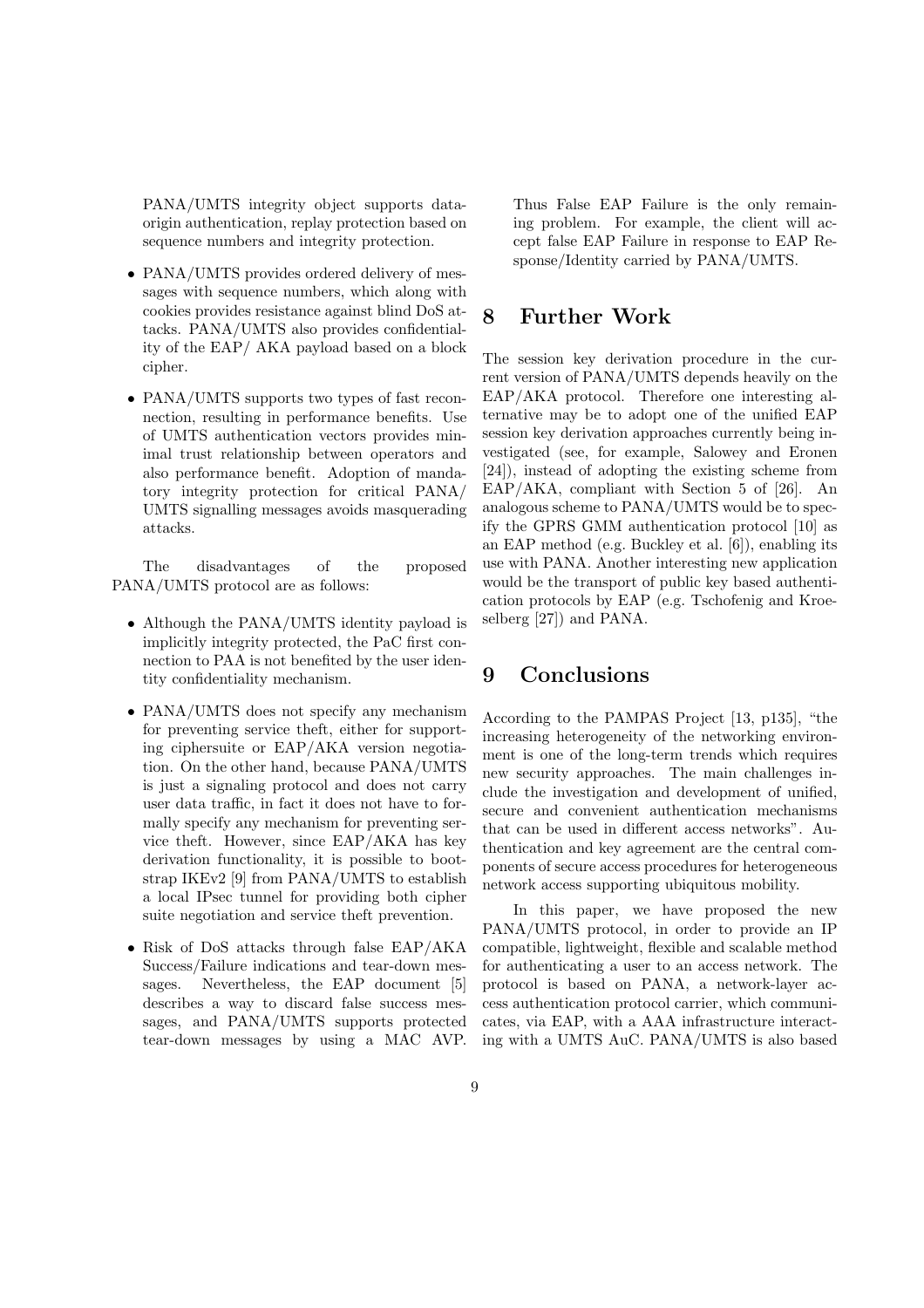PANA/UMTS integrity object supports dataorigin authentication, replay protection based on sequence numbers and integrity protection.

- PANA/UMTS provides ordered delivery of messages with sequence numbers, which along with cookies provides resistance against blind DoS attacks. PANA/UMTS also provides confidentiality of the EAP/ AKA payload based on a block cipher.
- PANA/UMTS supports two types of fast reconnection, resulting in performance benefits. Use of UMTS authentication vectors provides minimal trust relationship between operators and also performance benefit. Adoption of mandatory integrity protection for critical PANA/ UMTS signalling messages avoids masquerading attacks.

The disadvantages of the proposed PANA/UMTS protocol are as follows:

- Although the PANA/UMTS identity payload is implicitly integrity protected, the PaC first connection to PAA is not benefited by the user identity confidentiality mechanism.
- PANA/UMTS does not specify any mechanism for preventing service theft, either for supporting ciphersuite or EAP/AKA version negotiation. On the other hand, because PANA/UMTS is just a signaling protocol and does not carry user data traffic, in fact it does not have to formally specify any mechanism for preventing service theft. However, since EAP/AKA has key derivation functionality, it is possible to bootstrap IKEv2 [9] from PANA/UMTS to establish a local IPsec tunnel for providing both cipher suite negotiation and service theft prevention.
- Risk of DoS attacks through false EAP/AKA Success/Failure indications and tear-down messages. Nevertheless, the EAP document [5] describes a way to discard false success messages, and PANA/UMTS supports protected tear-down messages by using a MAC AVP.

Thus False EAP Failure is the only remaining problem. For example, the client will accept false EAP Failure in response to EAP Response/Identity carried by PANA/UMTS.

#### 8 Further Work

The session key derivation procedure in the current version of PANA/UMTS depends heavily on the EAP/AKA protocol. Therefore one interesting alternative may be to adopt one of the unified EAP session key derivation approaches currently being investigated (see, for example, Salowey and Eronen [24]), instead of adopting the existing scheme from EAP/AKA, compliant with Section 5 of [26]. An analogous scheme to PANA/UMTS would be to specify the GPRS GMM authentication protocol [10] as an EAP method (e.g. Buckley et al. [6]), enabling its use with PANA. Another interesting new application would be the transport of public key based authentication protocols by EAP (e.g. Tschofenig and Kroeselberg [27]) and PANA.

### 9 Conclusions

According to the PAMPAS Project [13, p135], "the increasing heterogeneity of the networking environment is one of the long-term trends which requires new security approaches. The main challenges include the investigation and development of unified, secure and convenient authentication mechanisms that can be used in different access networks". Authentication and key agreement are the central components of secure access procedures for heterogeneous network access supporting ubiquitous mobility.

In this paper, we have proposed the new PANA/UMTS protocol, in order to provide an IP compatible, lightweight, flexible and scalable method for authenticating a user to an access network. The protocol is based on PANA, a network-layer access authentication protocol carrier, which communicates, via EAP, with a AAA infrastructure interacting with a UMTS AuC. PANA/UMTS is also based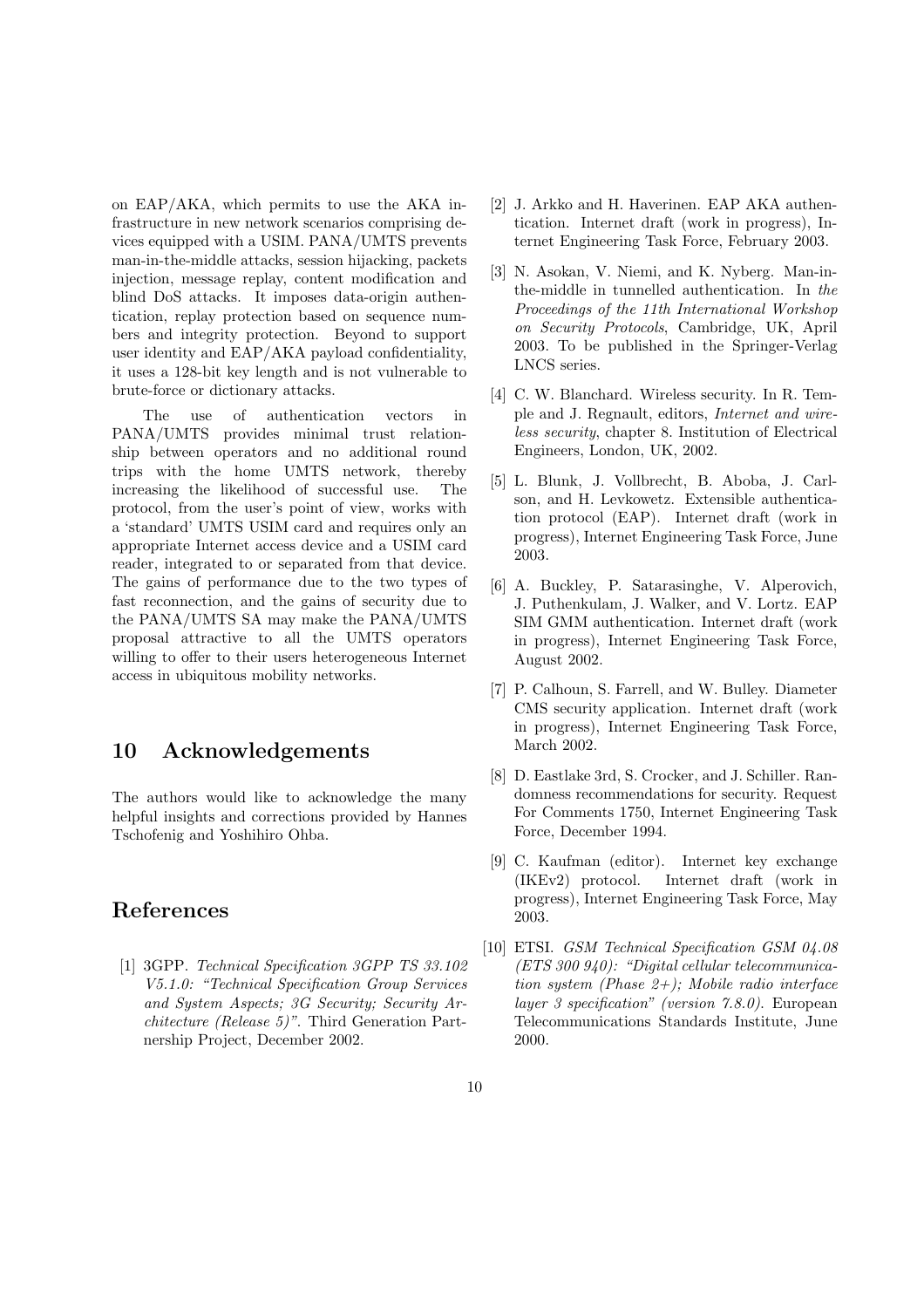on EAP/AKA, which permits to use the AKA infrastructure in new network scenarios comprising devices equipped with a USIM. PANA/UMTS prevents man-in-the-middle attacks, session hijacking, packets injection, message replay, content modification and blind DoS attacks. It imposes data-origin authentication, replay protection based on sequence numbers and integrity protection. Beyond to support user identity and EAP/AKA payload confidentiality, it uses a 128-bit key length and is not vulnerable to brute-force or dictionary attacks.

The use of authentication vectors in PANA/UMTS provides minimal trust relationship between operators and no additional round trips with the home UMTS network, thereby increasing the likelihood of successful use. The protocol, from the user's point of view, works with a 'standard' UMTS USIM card and requires only an appropriate Internet access device and a USIM card reader, integrated to or separated from that device. The gains of performance due to the two types of fast reconnection, and the gains of security due to the PANA/UMTS SA may make the PANA/UMTS proposal attractive to all the UMTS operators willing to offer to their users heterogeneous Internet access in ubiquitous mobility networks.

### 10 Acknowledgements

The authors would like to acknowledge the many helpful insights and corrections provided by Hannes Tschofenig and Yoshihiro Ohba.

## References

[1] 3GPP. Technical Specification 3GPP TS 33.102 V5.1.0: "Technical Specification Group Services and System Aspects; 3G Security; Security Architecture (Release 5)". Third Generation Partnership Project, December 2002.

- [2] J. Arkko and H. Haverinen. EAP AKA authentication. Internet draft (work in progress), Internet Engineering Task Force, February 2003.
- [3] N. Asokan, V. Niemi, and K. Nyberg. Man-inthe-middle in tunnelled authentication. In the Proceedings of the 11th International Workshop on Security Protocols, Cambridge, UK, April 2003. To be published in the Springer-Verlag LNCS series.
- [4] C. W. Blanchard. Wireless security. In R. Temple and J. Regnault, editors, Internet and wireless security, chapter 8. Institution of Electrical Engineers, London, UK, 2002.
- [5] L. Blunk, J. Vollbrecht, B. Aboba, J. Carlson, and H. Levkowetz. Extensible authentication protocol (EAP). Internet draft (work in progress), Internet Engineering Task Force, June 2003.
- [6] A. Buckley, P. Satarasinghe, V. Alperovich, J. Puthenkulam, J. Walker, and V. Lortz. EAP SIM GMM authentication. Internet draft (work in progress), Internet Engineering Task Force, August 2002.
- [7] P. Calhoun, S. Farrell, and W. Bulley. Diameter CMS security application. Internet draft (work in progress), Internet Engineering Task Force, March 2002.
- [8] D. Eastlake 3rd, S. Crocker, and J. Schiller. Randomness recommendations for security. Request For Comments 1750, Internet Engineering Task Force, December 1994.
- [9] C. Kaufman (editor). Internet key exchange (IKEv2) protocol. Internet draft (work in progress), Internet Engineering Task Force, May 2003.
- [10] ETSI. GSM Technical Specification GSM 04.08 (ETS 300 940): "Digital cellular telecommunication system (Phase  $2+$ ); Mobile radio interface layer 3 specification" (version 7.8.0). European Telecommunications Standards Institute, June 2000.